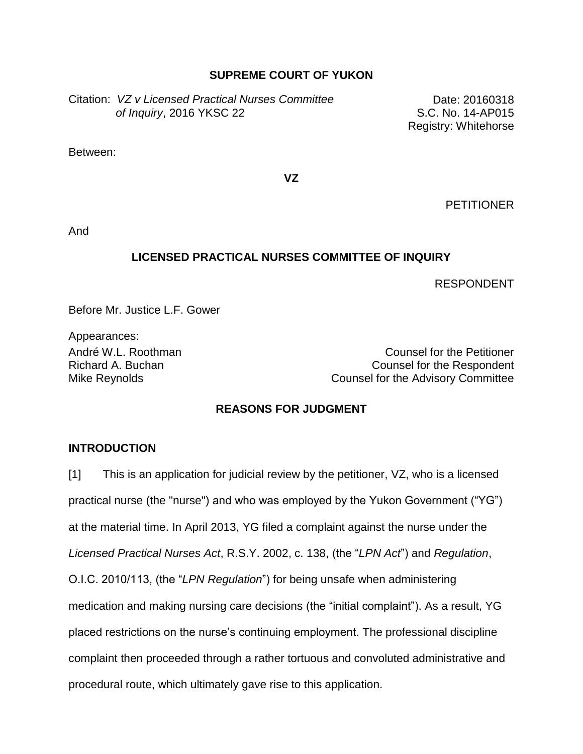#### **SUPREME COURT OF YUKON**

Citation: *VZ v Licensed Practical Nurses Committee of Inquiry*, 2016 YKSC 22

Date: 20160318 S.C. No. 14-AP015 Registry: Whitehorse

Between:

**VZ**

**PETITIONER** 

And

#### **LICENSED PRACTICAL NURSES COMMITTEE OF INQUIRY**

RESPONDENT

Before Mr. Justice L.F. Gower

Appearances:

André W.L. Roothman Counsel for the Petitioner Richard A. Buchan Counsel for the Respondent Mike Reynolds **Counsel for the Advisory Committee** 

## **REASONS FOR JUDGMENT**

#### **INTRODUCTION**

[1] This is an application for judicial review by the petitioner, VZ, who is a licensed practical nurse (the "nurse") and who was employed by the Yukon Government ("YG") at the material time. In April 2013, YG filed a complaint against the nurse under the *Licensed Practical Nurses Act*, R.S.Y. 2002, c. 138, (the "*LPN Act*") and *Regulation*, O.I.C. 2010/113, (the "*LPN Regulation*") for being unsafe when administering medication and making nursing care decisions (the "initial complaint"). As a result, YG placed restrictions on the nurse's continuing employment. The professional discipline complaint then proceeded through a rather tortuous and convoluted administrative and procedural route, which ultimately gave rise to this application.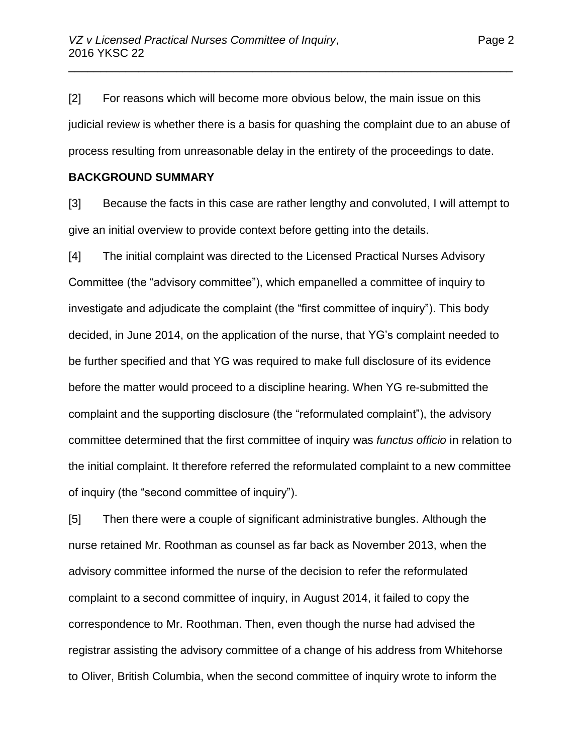[2] For reasons which will become more obvious below, the main issue on this judicial review is whether there is a basis for quashing the complaint due to an abuse of process resulting from unreasonable delay in the entirety of the proceedings to date.

\_\_\_\_\_\_\_\_\_\_\_\_\_\_\_\_\_\_\_\_\_\_\_\_\_\_\_\_\_\_\_\_\_\_\_\_\_\_\_\_\_\_\_\_\_\_\_\_\_\_\_\_\_\_\_\_\_\_\_\_\_\_\_\_\_\_\_\_\_\_

#### **BACKGROUND SUMMARY**

[3] Because the facts in this case are rather lengthy and convoluted, I will attempt to give an initial overview to provide context before getting into the details.

[4] The initial complaint was directed to the Licensed Practical Nurses Advisory Committee (the "advisory committee"), which empanelled a committee of inquiry to investigate and adjudicate the complaint (the "first committee of inquiry"). This body decided, in June 2014, on the application of the nurse, that YG's complaint needed to be further specified and that YG was required to make full disclosure of its evidence before the matter would proceed to a discipline hearing. When YG re-submitted the complaint and the supporting disclosure (the "reformulated complaint"), the advisory committee determined that the first committee of inquiry was *functus officio* in relation to the initial complaint. It therefore referred the reformulated complaint to a new committee of inquiry (the "second committee of inquiry").

[5] Then there were a couple of significant administrative bungles. Although the nurse retained Mr. Roothman as counsel as far back as November 2013, when the advisory committee informed the nurse of the decision to refer the reformulated complaint to a second committee of inquiry, in August 2014, it failed to copy the correspondence to Mr. Roothman. Then, even though the nurse had advised the registrar assisting the advisory committee of a change of his address from Whitehorse to Oliver, British Columbia, when the second committee of inquiry wrote to inform the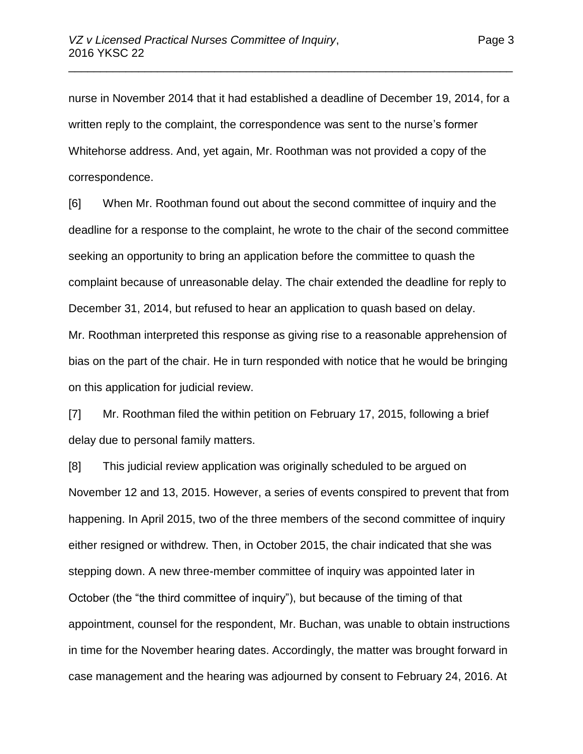nurse in November 2014 that it had established a deadline of December 19, 2014, for a written reply to the complaint, the correspondence was sent to the nurse's former Whitehorse address. And, yet again, Mr. Roothman was not provided a copy of the correspondence.

\_\_\_\_\_\_\_\_\_\_\_\_\_\_\_\_\_\_\_\_\_\_\_\_\_\_\_\_\_\_\_\_\_\_\_\_\_\_\_\_\_\_\_\_\_\_\_\_\_\_\_\_\_\_\_\_\_\_\_\_\_\_\_\_\_\_\_\_\_\_

[6] When Mr. Roothman found out about the second committee of inquiry and the deadline for a response to the complaint, he wrote to the chair of the second committee seeking an opportunity to bring an application before the committee to quash the complaint because of unreasonable delay. The chair extended the deadline for reply to December 31, 2014, but refused to hear an application to quash based on delay. Mr. Roothman interpreted this response as giving rise to a reasonable apprehension of bias on the part of the chair. He in turn responded with notice that he would be bringing on this application for judicial review.

[7] Mr. Roothman filed the within petition on February 17, 2015, following a brief delay due to personal family matters.

[8] This judicial review application was originally scheduled to be argued on November 12 and 13, 2015. However, a series of events conspired to prevent that from happening. In April 2015, two of the three members of the second committee of inquiry either resigned or withdrew. Then, in October 2015, the chair indicated that she was stepping down. A new three-member committee of inquiry was appointed later in October (the "the third committee of inquiry"), but because of the timing of that appointment, counsel for the respondent, Mr. Buchan, was unable to obtain instructions in time for the November hearing dates. Accordingly, the matter was brought forward in case management and the hearing was adjourned by consent to February 24, 2016. At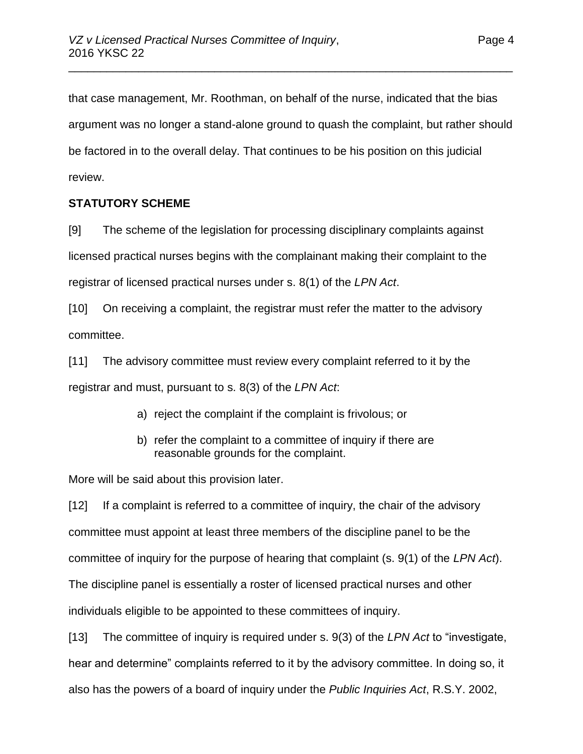that case management, Mr. Roothman, on behalf of the nurse, indicated that the bias argument was no longer a stand-alone ground to quash the complaint, but rather should be factored in to the overall delay. That continues to be his position on this judicial review.

\_\_\_\_\_\_\_\_\_\_\_\_\_\_\_\_\_\_\_\_\_\_\_\_\_\_\_\_\_\_\_\_\_\_\_\_\_\_\_\_\_\_\_\_\_\_\_\_\_\_\_\_\_\_\_\_\_\_\_\_\_\_\_\_\_\_\_\_\_\_

## **STATUTORY SCHEME**

[9] The scheme of the legislation for processing disciplinary complaints against licensed practical nurses begins with the complainant making their complaint to the registrar of licensed practical nurses under s. 8(1) of the *LPN Act*.

[10] On receiving a complaint, the registrar must refer the matter to the advisory committee.

[11] The advisory committee must review every complaint referred to it by the registrar and must, pursuant to s. 8(3) of the *LPN Act*:

- a) reject the complaint if the complaint is frivolous; or
- b) refer the complaint to a committee of inquiry if there are reasonable grounds for the complaint.

More will be said about this provision later.

[12] If a complaint is referred to a committee of inquiry, the chair of the advisory committee must appoint at least three members of the discipline panel to be the committee of inquiry for the purpose of hearing that complaint (s. 9(1) of the *LPN Act*). The discipline panel is essentially a roster of licensed practical nurses and other individuals eligible to be appointed to these committees of inquiry.

[13] The committee of inquiry is required under s. 9(3) of the *LPN Act* to "investigate, hear and determine" complaints referred to it by the advisory committee. In doing so, it also has the powers of a board of inquiry under the *Public Inquiries Act*, R.S.Y. 2002,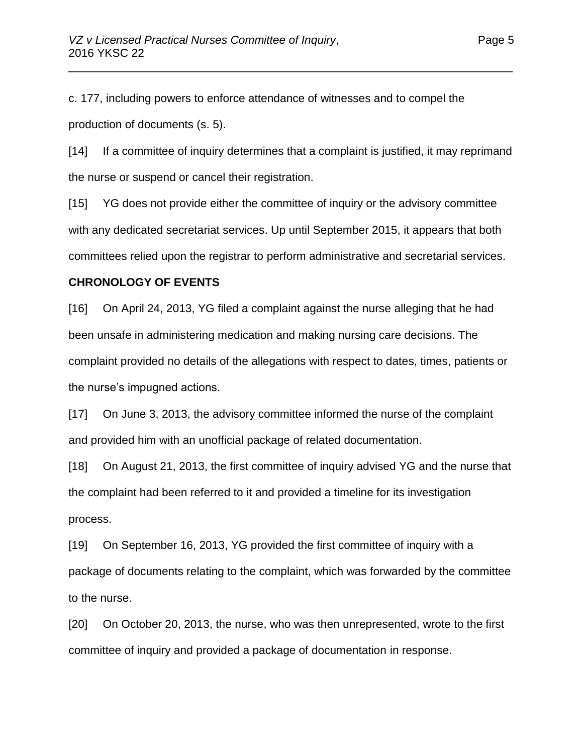c. 177, including powers to enforce attendance of witnesses and to compel the production of documents (s. 5).

[14] If a committee of inquiry determines that a complaint is justified, it may reprimand the nurse or suspend or cancel their registration.

\_\_\_\_\_\_\_\_\_\_\_\_\_\_\_\_\_\_\_\_\_\_\_\_\_\_\_\_\_\_\_\_\_\_\_\_\_\_\_\_\_\_\_\_\_\_\_\_\_\_\_\_\_\_\_\_\_\_\_\_\_\_\_\_\_\_\_\_\_\_

[15] YG does not provide either the committee of inquiry or the advisory committee with any dedicated secretariat services. Up until September 2015, it appears that both committees relied upon the registrar to perform administrative and secretarial services.

#### **CHRONOLOGY OF EVENTS**

[16] On April 24, 2013, YG filed a complaint against the nurse alleging that he had been unsafe in administering medication and making nursing care decisions. The complaint provided no details of the allegations with respect to dates, times, patients or the nurse's impugned actions.

[17] On June 3, 2013, the advisory committee informed the nurse of the complaint and provided him with an unofficial package of related documentation.

[18] On August 21, 2013, the first committee of inquiry advised YG and the nurse that the complaint had been referred to it and provided a timeline for its investigation process.

[19] On September 16, 2013, YG provided the first committee of inquiry with a package of documents relating to the complaint, which was forwarded by the committee to the nurse.

[20] On October 20, 2013, the nurse, who was then unrepresented, wrote to the first committee of inquiry and provided a package of documentation in response.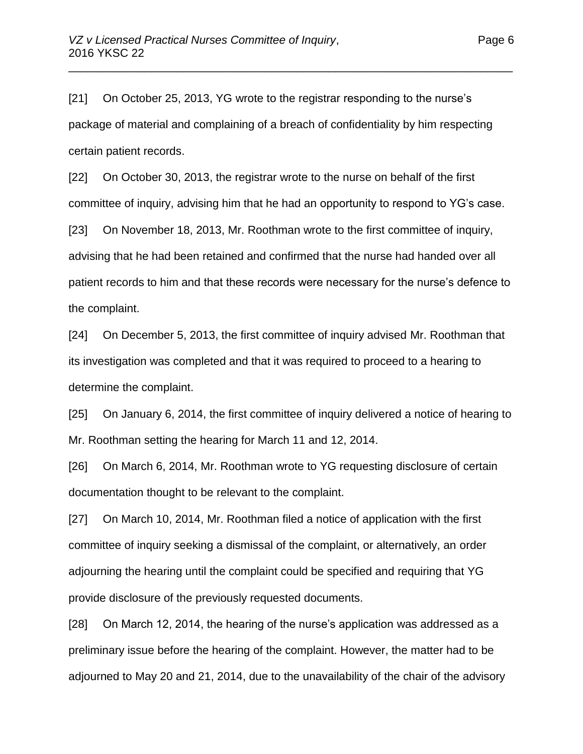[21] On October 25, 2013, YG wrote to the registrar responding to the nurse's package of material and complaining of a breach of confidentiality by him respecting certain patient records.

\_\_\_\_\_\_\_\_\_\_\_\_\_\_\_\_\_\_\_\_\_\_\_\_\_\_\_\_\_\_\_\_\_\_\_\_\_\_\_\_\_\_\_\_\_\_\_\_\_\_\_\_\_\_\_\_\_\_\_\_\_\_\_\_\_\_\_\_\_\_

[22] On October 30, 2013, the registrar wrote to the nurse on behalf of the first committee of inquiry, advising him that he had an opportunity to respond to YG's case.

[23] On November 18, 2013, Mr. Roothman wrote to the first committee of inquiry, advising that he had been retained and confirmed that the nurse had handed over all patient records to him and that these records were necessary for the nurse's defence to the complaint.

[24] On December 5, 2013, the first committee of inquiry advised Mr. Roothman that its investigation was completed and that it was required to proceed to a hearing to determine the complaint.

[25] On January 6, 2014, the first committee of inquiry delivered a notice of hearing to Mr. Roothman setting the hearing for March 11 and 12, 2014.

[26] On March 6, 2014, Mr. Roothman wrote to YG requesting disclosure of certain documentation thought to be relevant to the complaint.

[27] On March 10, 2014, Mr. Roothman filed a notice of application with the first committee of inquiry seeking a dismissal of the complaint, or alternatively, an order adjourning the hearing until the complaint could be specified and requiring that YG provide disclosure of the previously requested documents.

[28] On March 12, 2014, the hearing of the nurse's application was addressed as a preliminary issue before the hearing of the complaint. However, the matter had to be adjourned to May 20 and 21, 2014, due to the unavailability of the chair of the advisory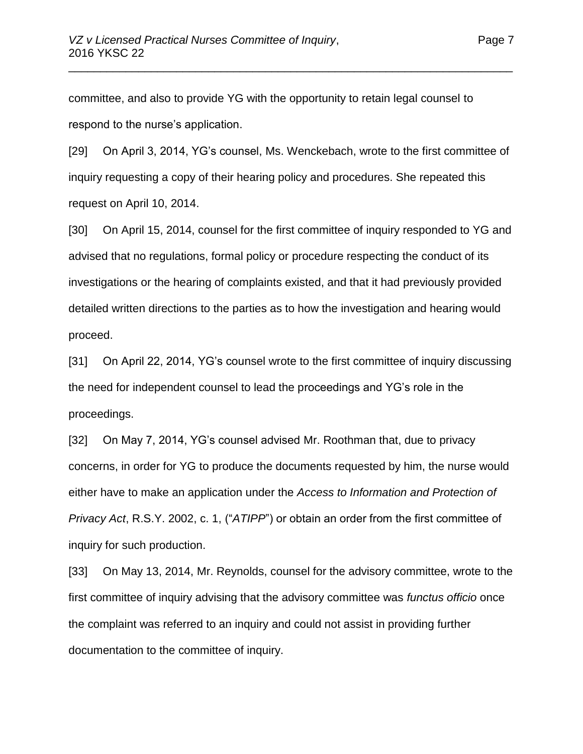committee, and also to provide YG with the opportunity to retain legal counsel to respond to the nurse's application.

[29] On April 3, 2014, YG's counsel, Ms. Wenckebach, wrote to the first committee of inquiry requesting a copy of their hearing policy and procedures. She repeated this request on April 10, 2014.

\_\_\_\_\_\_\_\_\_\_\_\_\_\_\_\_\_\_\_\_\_\_\_\_\_\_\_\_\_\_\_\_\_\_\_\_\_\_\_\_\_\_\_\_\_\_\_\_\_\_\_\_\_\_\_\_\_\_\_\_\_\_\_\_\_\_\_\_\_\_

[30] On April 15, 2014, counsel for the first committee of inquiry responded to YG and advised that no regulations, formal policy or procedure respecting the conduct of its investigations or the hearing of complaints existed, and that it had previously provided detailed written directions to the parties as to how the investigation and hearing would proceed.

[31] On April 22, 2014, YG's counsel wrote to the first committee of inquiry discussing the need for independent counsel to lead the proceedings and YG's role in the proceedings.

[32] On May 7, 2014, YG's counsel advised Mr. Roothman that, due to privacy concerns, in order for YG to produce the documents requested by him, the nurse would either have to make an application under the *Access to Information and Protection of Privacy Act*, R.S.Y. 2002, c. 1, ("*ATIPP*") or obtain an order from the first committee of inquiry for such production.

[33] On May 13, 2014, Mr. Reynolds, counsel for the advisory committee, wrote to the first committee of inquiry advising that the advisory committee was *functus officio* once the complaint was referred to an inquiry and could not assist in providing further documentation to the committee of inquiry.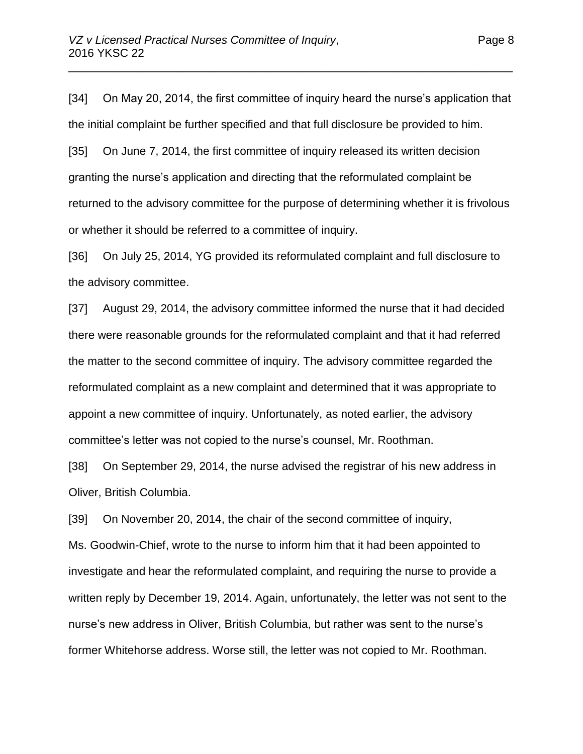[34] On May 20, 2014, the first committee of inquiry heard the nurse's application that the initial complaint be further specified and that full disclosure be provided to him.

\_\_\_\_\_\_\_\_\_\_\_\_\_\_\_\_\_\_\_\_\_\_\_\_\_\_\_\_\_\_\_\_\_\_\_\_\_\_\_\_\_\_\_\_\_\_\_\_\_\_\_\_\_\_\_\_\_\_\_\_\_\_\_\_\_\_\_\_\_\_

[35] On June 7, 2014, the first committee of inquiry released its written decision granting the nurse's application and directing that the reformulated complaint be returned to the advisory committee for the purpose of determining whether it is frivolous or whether it should be referred to a committee of inquiry.

[36] On July 25, 2014, YG provided its reformulated complaint and full disclosure to the advisory committee.

[37] August 29, 2014, the advisory committee informed the nurse that it had decided there were reasonable grounds for the reformulated complaint and that it had referred the matter to the second committee of inquiry. The advisory committee regarded the reformulated complaint as a new complaint and determined that it was appropriate to appoint a new committee of inquiry. Unfortunately, as noted earlier, the advisory committee's letter was not copied to the nurse's counsel, Mr. Roothman.

[38] On September 29, 2014, the nurse advised the registrar of his new address in Oliver, British Columbia.

[39] On November 20, 2014, the chair of the second committee of inquiry, Ms. Goodwin-Chief, wrote to the nurse to inform him that it had been appointed to investigate and hear the reformulated complaint, and requiring the nurse to provide a written reply by December 19, 2014. Again, unfortunately, the letter was not sent to the nurse's new address in Oliver, British Columbia, but rather was sent to the nurse's former Whitehorse address. Worse still, the letter was not copied to Mr. Roothman.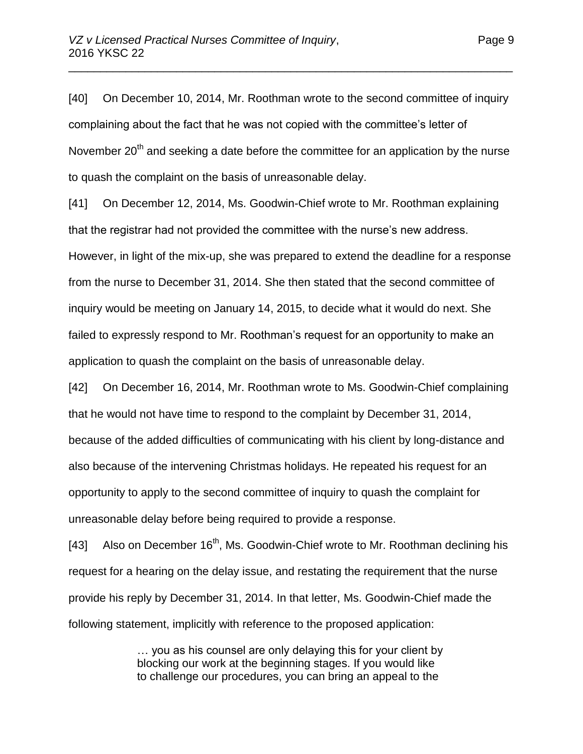[40] On December 10, 2014, Mr. Roothman wrote to the second committee of inquiry complaining about the fact that he was not copied with the committee's letter of November  $20<sup>th</sup>$  and seeking a date before the committee for an application by the nurse to quash the complaint on the basis of unreasonable delay.

\_\_\_\_\_\_\_\_\_\_\_\_\_\_\_\_\_\_\_\_\_\_\_\_\_\_\_\_\_\_\_\_\_\_\_\_\_\_\_\_\_\_\_\_\_\_\_\_\_\_\_\_\_\_\_\_\_\_\_\_\_\_\_\_\_\_\_\_\_\_

[41] On December 12, 2014, Ms. Goodwin-Chief wrote to Mr. Roothman explaining that the registrar had not provided the committee with the nurse's new address. However, in light of the mix-up, she was prepared to extend the deadline for a response from the nurse to December 31, 2014. She then stated that the second committee of inquiry would be meeting on January 14, 2015, to decide what it would do next. She failed to expressly respond to Mr. Roothman's request for an opportunity to make an application to quash the complaint on the basis of unreasonable delay.

[42] On December 16, 2014, Mr. Roothman wrote to Ms. Goodwin-Chief complaining that he would not have time to respond to the complaint by December 31, 2014, because of the added difficulties of communicating with his client by long-distance and also because of the intervening Christmas holidays. He repeated his request for an opportunity to apply to the second committee of inquiry to quash the complaint for unreasonable delay before being required to provide a response.

[43] Also on December  $16<sup>th</sup>$ , Ms. Goodwin-Chief wrote to Mr. Roothman declining his request for a hearing on the delay issue, and restating the requirement that the nurse provide his reply by December 31, 2014. In that letter, Ms. Goodwin-Chief made the following statement, implicitly with reference to the proposed application:

> … you as his counsel are only delaying this for your client by blocking our work at the beginning stages. If you would like to challenge our procedures, you can bring an appeal to the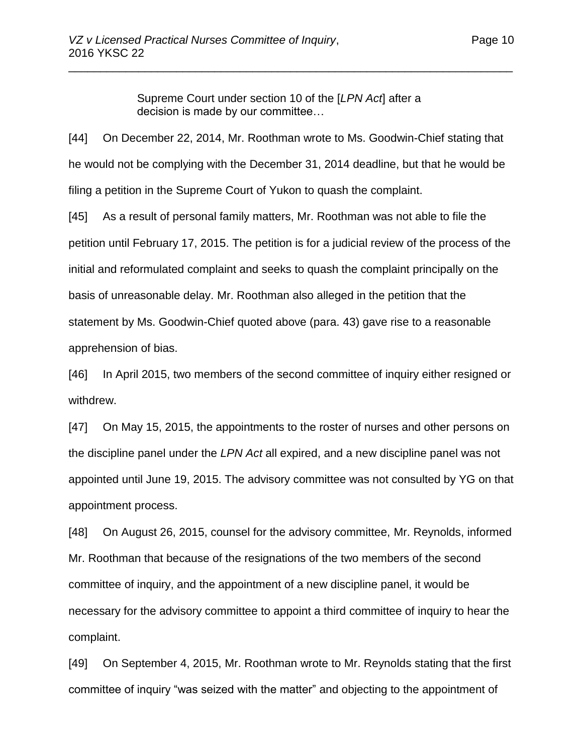Supreme Court under section 10 of the [*LPN Act*] after a decision is made by our committee…

\_\_\_\_\_\_\_\_\_\_\_\_\_\_\_\_\_\_\_\_\_\_\_\_\_\_\_\_\_\_\_\_\_\_\_\_\_\_\_\_\_\_\_\_\_\_\_\_\_\_\_\_\_\_\_\_\_\_\_\_\_\_\_\_\_\_\_\_\_\_

[44] On December 22, 2014, Mr. Roothman wrote to Ms. Goodwin-Chief stating that he would not be complying with the December 31, 2014 deadline, but that he would be filing a petition in the Supreme Court of Yukon to quash the complaint.

[45] As a result of personal family matters, Mr. Roothman was not able to file the petition until February 17, 2015. The petition is for a judicial review of the process of the initial and reformulated complaint and seeks to quash the complaint principally on the basis of unreasonable delay. Mr. Roothman also alleged in the petition that the statement by Ms. Goodwin-Chief quoted above (para. 43) gave rise to a reasonable apprehension of bias.

[46] In April 2015, two members of the second committee of inquiry either resigned or withdrew.

[47] On May 15, 2015, the appointments to the roster of nurses and other persons on the discipline panel under the *LPN Act* all expired, and a new discipline panel was not appointed until June 19, 2015. The advisory committee was not consulted by YG on that appointment process.

[48] On August 26, 2015, counsel for the advisory committee, Mr. Reynolds, informed Mr. Roothman that because of the resignations of the two members of the second committee of inquiry, and the appointment of a new discipline panel, it would be necessary for the advisory committee to appoint a third committee of inquiry to hear the complaint.

[49] On September 4, 2015, Mr. Roothman wrote to Mr. Reynolds stating that the first committee of inquiry "was seized with the matter" and objecting to the appointment of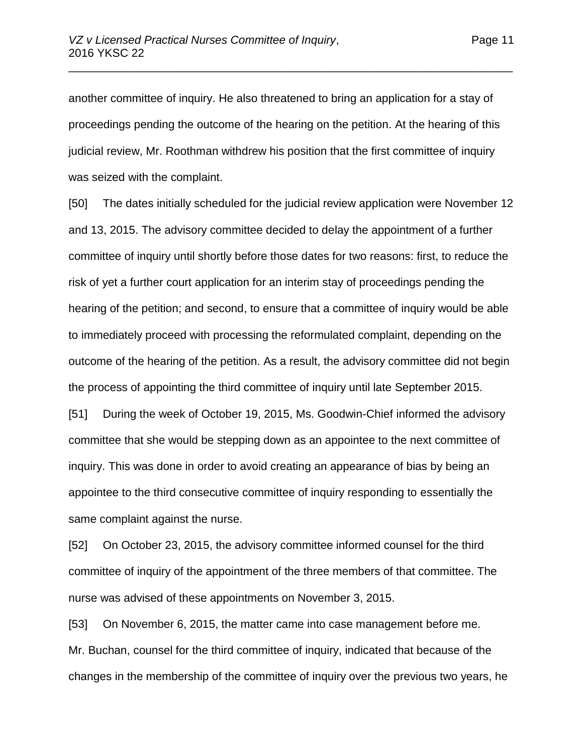another committee of inquiry. He also threatened to bring an application for a stay of proceedings pending the outcome of the hearing on the petition. At the hearing of this judicial review, Mr. Roothman withdrew his position that the first committee of inquiry was seized with the complaint.

\_\_\_\_\_\_\_\_\_\_\_\_\_\_\_\_\_\_\_\_\_\_\_\_\_\_\_\_\_\_\_\_\_\_\_\_\_\_\_\_\_\_\_\_\_\_\_\_\_\_\_\_\_\_\_\_\_\_\_\_\_\_\_\_\_\_\_\_\_\_

[50] The dates initially scheduled for the judicial review application were November 12 and 13, 2015. The advisory committee decided to delay the appointment of a further committee of inquiry until shortly before those dates for two reasons: first, to reduce the risk of yet a further court application for an interim stay of proceedings pending the hearing of the petition; and second, to ensure that a committee of inquiry would be able to immediately proceed with processing the reformulated complaint, depending on the outcome of the hearing of the petition. As a result, the advisory committee did not begin the process of appointing the third committee of inquiry until late September 2015.

[51] During the week of October 19, 2015, Ms. Goodwin-Chief informed the advisory committee that she would be stepping down as an appointee to the next committee of inquiry. This was done in order to avoid creating an appearance of bias by being an appointee to the third consecutive committee of inquiry responding to essentially the same complaint against the nurse.

[52] On October 23, 2015, the advisory committee informed counsel for the third committee of inquiry of the appointment of the three members of that committee. The nurse was advised of these appointments on November 3, 2015.

[53] On November 6, 2015, the matter came into case management before me. Mr. Buchan, counsel for the third committee of inquiry, indicated that because of the changes in the membership of the committee of inquiry over the previous two years, he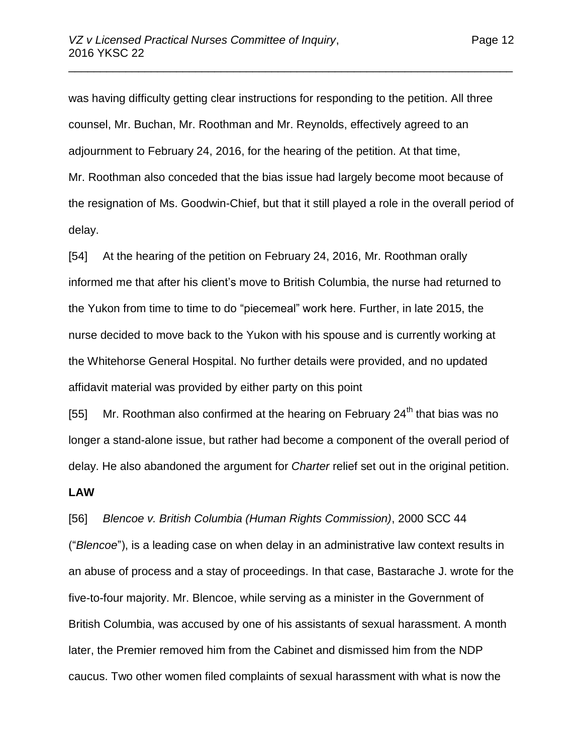was having difficulty getting clear instructions for responding to the petition. All three counsel, Mr. Buchan, Mr. Roothman and Mr. Reynolds, effectively agreed to an adjournment to February 24, 2016, for the hearing of the petition. At that time, Mr. Roothman also conceded that the bias issue had largely become moot because of the resignation of Ms. Goodwin-Chief, but that it still played a role in the overall period of delay.

\_\_\_\_\_\_\_\_\_\_\_\_\_\_\_\_\_\_\_\_\_\_\_\_\_\_\_\_\_\_\_\_\_\_\_\_\_\_\_\_\_\_\_\_\_\_\_\_\_\_\_\_\_\_\_\_\_\_\_\_\_\_\_\_\_\_\_\_\_\_

[54] At the hearing of the petition on February 24, 2016, Mr. Roothman orally informed me that after his client's move to British Columbia, the nurse had returned to the Yukon from time to time to do "piecemeal" work here. Further, in late 2015, the nurse decided to move back to the Yukon with his spouse and is currently working at the Whitehorse General Hospital. No further details were provided, and no updated affidavit material was provided by either party on this point

[55] Mr. Roothman also confirmed at the hearing on February  $24<sup>th</sup>$  that bias was no longer a stand-alone issue, but rather had become a component of the overall period of delay. He also abandoned the argument for *Charter* relief set out in the original petition.

#### **LAW**

[56] *Blencoe v. British Columbia (Human Rights Commission)*, 2000 SCC 44 ("*Blencoe*"), is a leading case on when delay in an administrative law context results in an abuse of process and a stay of proceedings. In that case, Bastarache J. wrote for the five-to-four majority. Mr. Blencoe, while serving as a minister in the Government of British Columbia, was accused by one of his assistants of sexual harassment. A month later, the Premier removed him from the Cabinet and dismissed him from the NDP caucus. Two other women filed complaints of sexual harassment with what is now the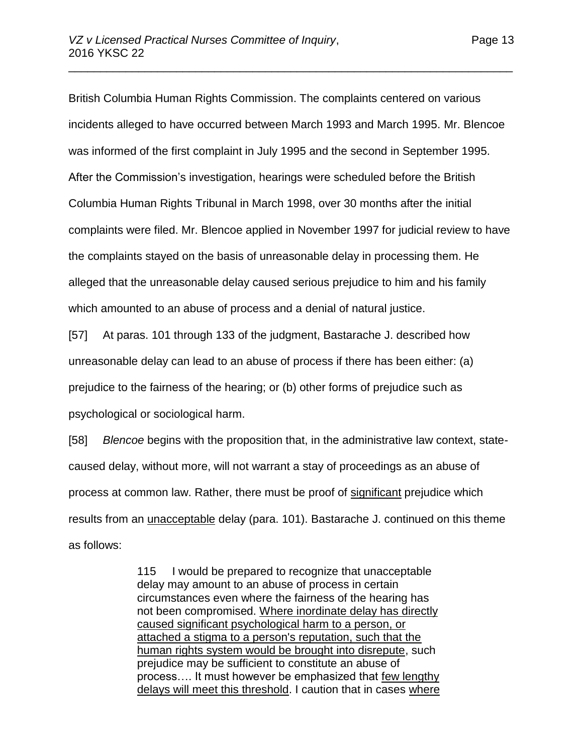British Columbia Human Rights Commission. The complaints centered on various incidents alleged to have occurred between March 1993 and March 1995. Mr. Blencoe was informed of the first complaint in July 1995 and the second in September 1995. After the Commission's investigation, hearings were scheduled before the British Columbia Human Rights Tribunal in March 1998, over 30 months after the initial complaints were filed. Mr. Blencoe applied in November 1997 for judicial review to have the complaints stayed on the basis of unreasonable delay in processing them. He alleged that the unreasonable delay caused serious prejudice to him and his family which amounted to an abuse of process and a denial of natural justice.

\_\_\_\_\_\_\_\_\_\_\_\_\_\_\_\_\_\_\_\_\_\_\_\_\_\_\_\_\_\_\_\_\_\_\_\_\_\_\_\_\_\_\_\_\_\_\_\_\_\_\_\_\_\_\_\_\_\_\_\_\_\_\_\_\_\_\_\_\_\_

[57] At paras. 101 through 133 of the judgment, Bastarache J. described how unreasonable delay can lead to an abuse of process if there has been either: (a) prejudice to the fairness of the hearing; or (b) other forms of prejudice such as psychological or sociological harm.

[58] *Blencoe* begins with the proposition that, in the administrative law context, statecaused delay, without more, will not warrant a stay of proceedings as an abuse of process at common law. Rather, there must be proof of significant prejudice which results from an unacceptable delay (para. 101). Bastarache J. continued on this theme as follows:

> 115 I would be prepared to recognize that unacceptable delay may amount to an abuse of process in certain circumstances even where the fairness of the hearing has not been compromised. Where inordinate delay has directly caused significant psychological harm to a person, or attached a stigma to a person's reputation, such that the human rights system would be brought into disrepute, such prejudice may be sufficient to constitute an abuse of process…. It must however be emphasized that few lengthy delays will meet this threshold. I caution that in cases where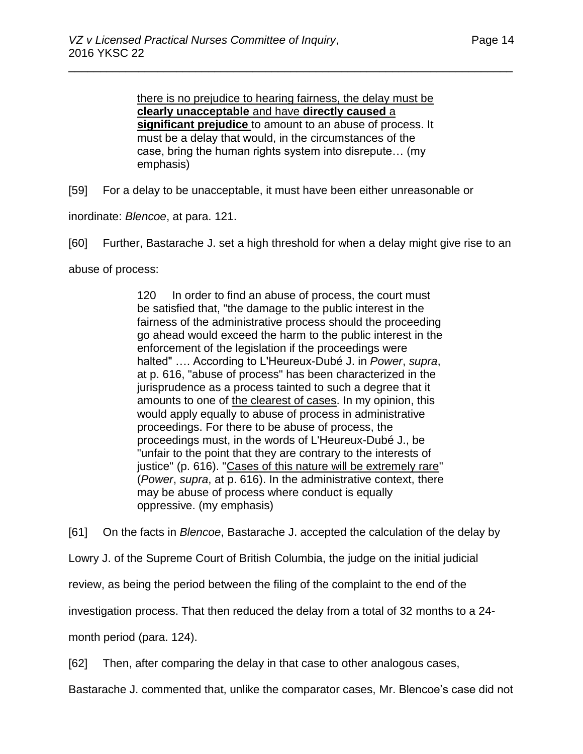there is no prejudice to hearing fairness, the delay must be **clearly unacceptable** and have **directly caused** a **significant prejudice** to amount to an abuse of process. It must be a delay that would, in the circumstances of the case, bring the human rights system into disrepute… (my emphasis)

\_\_\_\_\_\_\_\_\_\_\_\_\_\_\_\_\_\_\_\_\_\_\_\_\_\_\_\_\_\_\_\_\_\_\_\_\_\_\_\_\_\_\_\_\_\_\_\_\_\_\_\_\_\_\_\_\_\_\_\_\_\_\_\_\_\_\_\_\_\_

[59] For a delay to be unacceptable, it must have been either unreasonable or

inordinate: *Blencoe*, at para. 121.

[60] Further, Bastarache J. set a high threshold for when a delay might give rise to an

abuse of process:

120 In order to find an abuse of process, the court must be satisfied that, "the damage to the public interest in the fairness of the administrative process should the proceeding go ahead would exceed the harm to the public interest in the enforcement of the legislation if the proceedings were halted" …. According to L'Heureux-Dubé J. in *Power*, *supra*, at p. 616, "abuse of process" has been characterized in the jurisprudence as a process tainted to such a degree that it amounts to one of the clearest of cases. In my opinion, this would apply equally to abuse of process in administrative proceedings. For there to be abuse of process, the proceedings must, in the words of L'Heureux-Dubé J., be "unfair to the point that they are contrary to the interests of justice" (p. 616). "Cases of this nature will be extremely rare" (*Power*, *supra*, at p. 616). In the administrative context, there may be abuse of process where conduct is equally oppressive. (my emphasis)

[61] On the facts in *Blencoe*, Bastarache J. accepted the calculation of the delay by

Lowry J. of the Supreme Court of British Columbia, the judge on the initial judicial

review, as being the period between the filing of the complaint to the end of the

investigation process. That then reduced the delay from a total of 32 months to a 24-

month period (para. 124).

[62] Then, after comparing the delay in that case to other analogous cases,

Bastarache J. commented that, unlike the comparator cases, Mr. Blencoe's case did not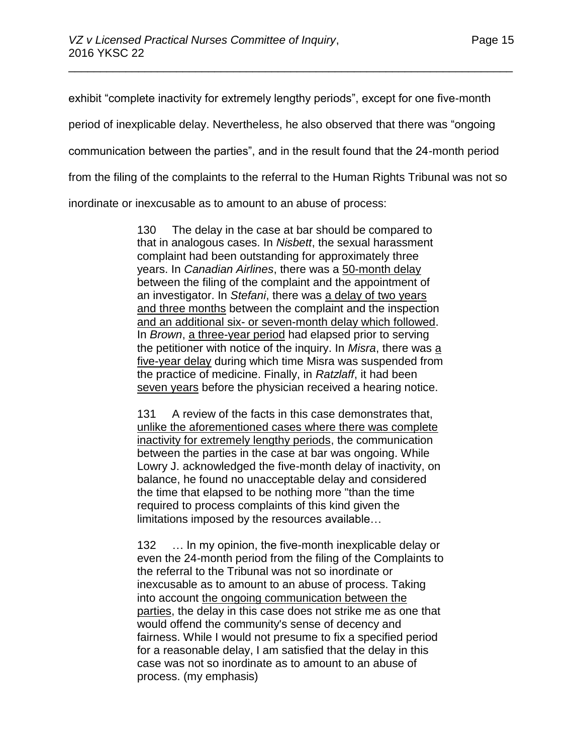exhibit "complete inactivity for extremely lengthy periods", except for one five-month

\_\_\_\_\_\_\_\_\_\_\_\_\_\_\_\_\_\_\_\_\_\_\_\_\_\_\_\_\_\_\_\_\_\_\_\_\_\_\_\_\_\_\_\_\_\_\_\_\_\_\_\_\_\_\_\_\_\_\_\_\_\_\_\_\_\_\_\_\_\_

period of inexplicable delay. Nevertheless, he also observed that there was "ongoing

communication between the parties", and in the result found that the 24-month period

from the filing of the complaints to the referral to the Human Rights Tribunal was not so

inordinate or inexcusable as to amount to an abuse of process:

130 The delay in the case at bar should be compared to that in analogous cases. In *Nisbett*, the sexual harassment complaint had been outstanding for approximately three years. In *Canadian Airlines*, there was a 50-month delay between the filing of the complaint and the appointment of an investigator. In *Stefani*, there was a delay of two years and three months between the complaint and the inspection and an additional six- or seven-month delay which followed. In *Brown*, a three-year period had elapsed prior to serving the petitioner with notice of the inquiry. In *Misra*, there was a five-year delay during which time Misra was suspended from the practice of medicine. Finally, in *Ratzlaff*, it had been seven years before the physician received a hearing notice.

131 A review of the facts in this case demonstrates that, unlike the aforementioned cases where there was complete inactivity for extremely lengthy periods, the communication between the parties in the case at bar was ongoing. While Lowry J. acknowledged the five-month delay of inactivity, on balance, he found no unacceptable delay and considered the time that elapsed to be nothing more "than the time required to process complaints of this kind given the limitations imposed by the resources available…

132 … In my opinion, the five-month inexplicable delay or even the 24-month period from the filing of the Complaints to the referral to the Tribunal was not so inordinate or inexcusable as to amount to an abuse of process. Taking into account the ongoing communication between the parties, the delay in this case does not strike me as one that would offend the community's sense of decency and fairness. While I would not presume to fix a specified period for a reasonable delay, I am satisfied that the delay in this case was not so inordinate as to amount to an abuse of process. (my emphasis)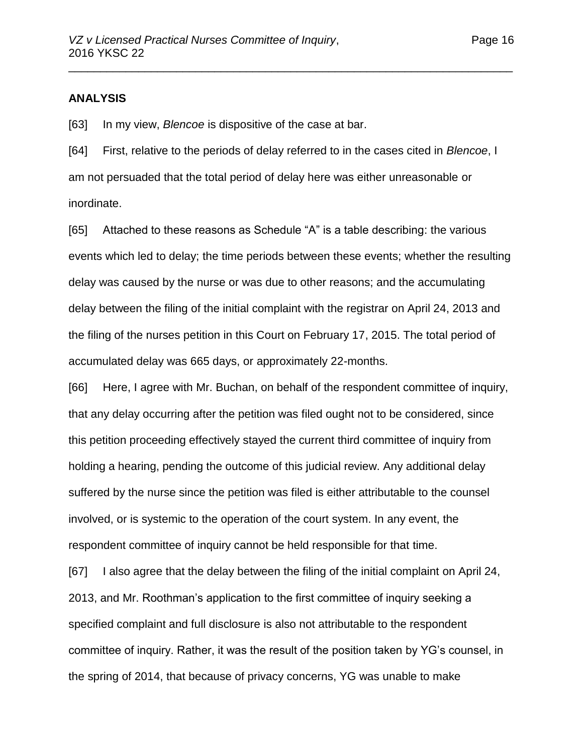#### **ANALYSIS**

[63] In my view, *Blencoe* is dispositive of the case at bar.

[64] First, relative to the periods of delay referred to in the cases cited in *Blencoe*, I am not persuaded that the total period of delay here was either unreasonable or inordinate.

\_\_\_\_\_\_\_\_\_\_\_\_\_\_\_\_\_\_\_\_\_\_\_\_\_\_\_\_\_\_\_\_\_\_\_\_\_\_\_\_\_\_\_\_\_\_\_\_\_\_\_\_\_\_\_\_\_\_\_\_\_\_\_\_\_\_\_\_\_\_

[65] Attached to these reasons as Schedule "A" is a table describing: the various events which led to delay; the time periods between these events; whether the resulting delay was caused by the nurse or was due to other reasons; and the accumulating delay between the filing of the initial complaint with the registrar on April 24, 2013 and the filing of the nurses petition in this Court on February 17, 2015. The total period of accumulated delay was 665 days, or approximately 22-months.

[66] Here, I agree with Mr. Buchan, on behalf of the respondent committee of inquiry, that any delay occurring after the petition was filed ought not to be considered, since this petition proceeding effectively stayed the current third committee of inquiry from holding a hearing, pending the outcome of this judicial review. Any additional delay suffered by the nurse since the petition was filed is either attributable to the counsel involved, or is systemic to the operation of the court system. In any event, the respondent committee of inquiry cannot be held responsible for that time.

[67] I also agree that the delay between the filing of the initial complaint on April 24, 2013, and Mr. Roothman's application to the first committee of inquiry seeking a specified complaint and full disclosure is also not attributable to the respondent committee of inquiry. Rather, it was the result of the position taken by YG's counsel, in the spring of 2014, that because of privacy concerns, YG was unable to make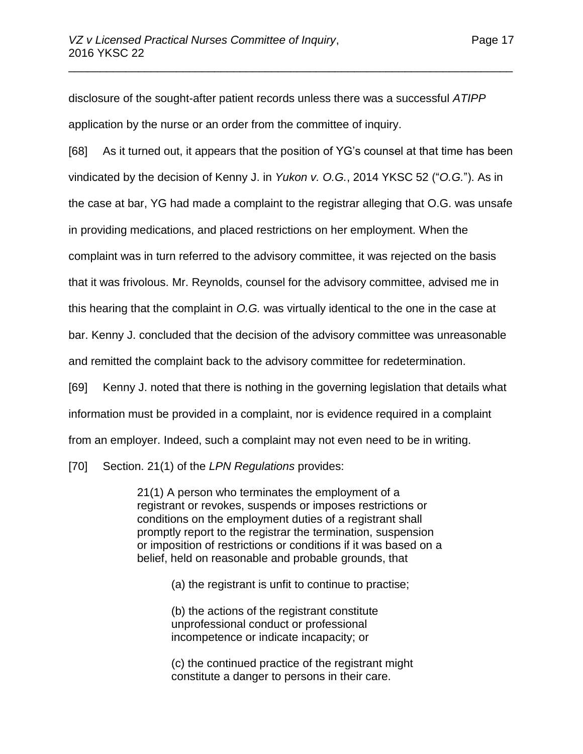disclosure of the sought-after patient records unless there was a successful *ATIPP* application by the nurse or an order from the committee of inquiry.

\_\_\_\_\_\_\_\_\_\_\_\_\_\_\_\_\_\_\_\_\_\_\_\_\_\_\_\_\_\_\_\_\_\_\_\_\_\_\_\_\_\_\_\_\_\_\_\_\_\_\_\_\_\_\_\_\_\_\_\_\_\_\_\_\_\_\_\_\_\_

[68] As it turned out, it appears that the position of YG's counsel at that time has been vindicated by the decision of Kenny J. in *Yukon v. O.G.*, 2014 YKSC 52 ("*O.G.*"). As in the case at bar, YG had made a complaint to the registrar alleging that O.G. was unsafe in providing medications, and placed restrictions on her employment. When the complaint was in turn referred to the advisory committee, it was rejected on the basis that it was frivolous. Mr. Reynolds, counsel for the advisory committee, advised me in this hearing that the complaint in *O.G.* was virtually identical to the one in the case at bar. Kenny J. concluded that the decision of the advisory committee was unreasonable and remitted the complaint back to the advisory committee for redetermination.

[69] Kenny J. noted that there is nothing in the governing legislation that details what information must be provided in a complaint, nor is evidence required in a complaint from an employer. Indeed, such a complaint may not even need to be in writing.

[70] Section. 21(1) of the *LPN Regulations* provides:

21(1) A person who terminates the employment of a registrant or revokes, suspends or imposes restrictions or conditions on the employment duties of a registrant shall promptly report to the registrar the termination, suspension or imposition of restrictions or conditions if it was based on a belief, held on reasonable and probable grounds, that

(a) the registrant is unfit to continue to practise;

(b) the actions of the registrant constitute unprofessional conduct or professional incompetence or indicate incapacity; or

(c) the continued practice of the registrant might constitute a danger to persons in their care.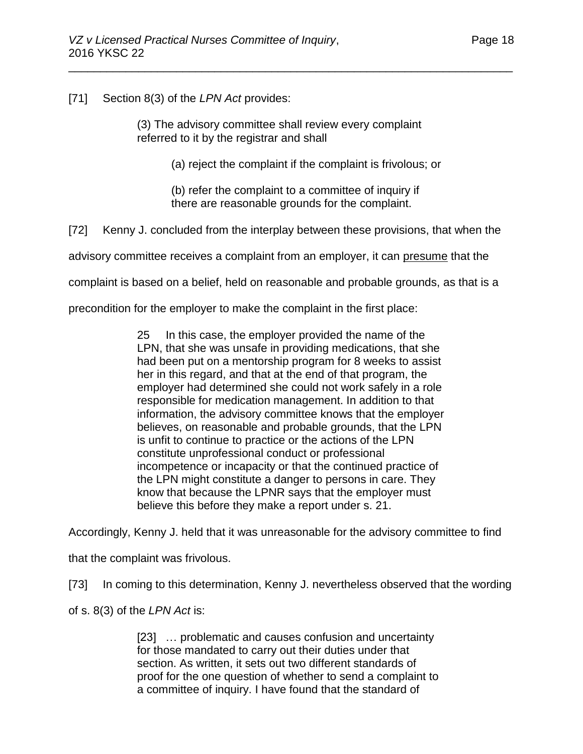[71] Section 8(3) of the *LPN Act* provides:

(3) The advisory committee shall review every complaint referred to it by the registrar and shall

\_\_\_\_\_\_\_\_\_\_\_\_\_\_\_\_\_\_\_\_\_\_\_\_\_\_\_\_\_\_\_\_\_\_\_\_\_\_\_\_\_\_\_\_\_\_\_\_\_\_\_\_\_\_\_\_\_\_\_\_\_\_\_\_\_\_\_\_\_\_

(a) reject the complaint if the complaint is frivolous; or

(b) refer the complaint to a committee of inquiry if there are reasonable grounds for the complaint.

[72] Kenny J. concluded from the interplay between these provisions, that when the

advisory committee receives a complaint from an employer, it can presume that the

complaint is based on a belief, held on reasonable and probable grounds, as that is a

precondition for the employer to make the complaint in the first place:

25 In this case, the employer provided the name of the LPN, that she was unsafe in providing medications, that she had been put on a mentorship program for 8 weeks to assist her in this regard, and that at the end of that program, the employer had determined she could not work safely in a role responsible for medication management. In addition to that information, the advisory committee knows that the employer believes, on reasonable and probable grounds, that the LPN is unfit to continue to practice or the actions of the LPN constitute unprofessional conduct or professional incompetence or incapacity or that the continued practice of the LPN might constitute a danger to persons in care. They know that because the LPNR says that the employer must believe this before they make a report under s. 21.

Accordingly, Kenny J. held that it was unreasonable for the advisory committee to find

that the complaint was frivolous.

[73] In coming to this determination, Kenny J. nevertheless observed that the wording

of s. 8(3) of the *LPN Act* is:

[23] … problematic and causes confusion and uncertainty for those mandated to carry out their duties under that section. As written, it sets out two different standards of proof for the one question of whether to send a complaint to a committee of inquiry. I have found that the standard of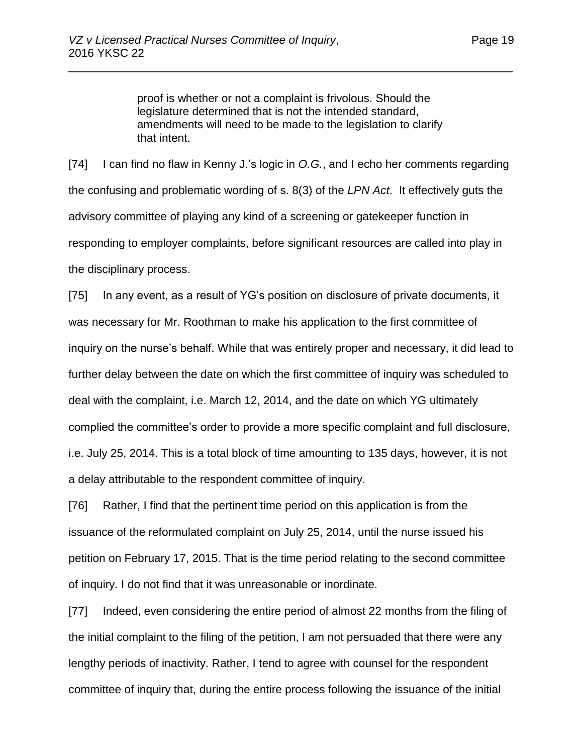proof is whether or not a complaint is frivolous. Should the legislature determined that is not the intended standard, amendments will need to be made to the legislation to clarify that intent.

\_\_\_\_\_\_\_\_\_\_\_\_\_\_\_\_\_\_\_\_\_\_\_\_\_\_\_\_\_\_\_\_\_\_\_\_\_\_\_\_\_\_\_\_\_\_\_\_\_\_\_\_\_\_\_\_\_\_\_\_\_\_\_\_\_\_\_\_\_\_

[74] I can find no flaw in Kenny J.'s logic in *O.G.*, and I echo her comments regarding the confusing and problematic wording of s. 8(3) of the *LPN Act*. It effectively guts the advisory committee of playing any kind of a screening or gatekeeper function in responding to employer complaints, before significant resources are called into play in the disciplinary process.

[75] In any event, as a result of YG's position on disclosure of private documents, it was necessary for Mr. Roothman to make his application to the first committee of inquiry on the nurse's behalf. While that was entirely proper and necessary, it did lead to further delay between the date on which the first committee of inquiry was scheduled to deal with the complaint, i.e. March 12, 2014, and the date on which YG ultimately complied the committee's order to provide a more specific complaint and full disclosure, i.e. July 25, 2014. This is a total block of time amounting to 135 days, however, it is not a delay attributable to the respondent committee of inquiry.

[76] Rather, I find that the pertinent time period on this application is from the issuance of the reformulated complaint on July 25, 2014, until the nurse issued his petition on February 17, 2015. That is the time period relating to the second committee of inquiry. I do not find that it was unreasonable or inordinate.

[77] Indeed, even considering the entire period of almost 22 months from the filing of the initial complaint to the filing of the petition, I am not persuaded that there were any lengthy periods of inactivity. Rather, I tend to agree with counsel for the respondent committee of inquiry that, during the entire process following the issuance of the initial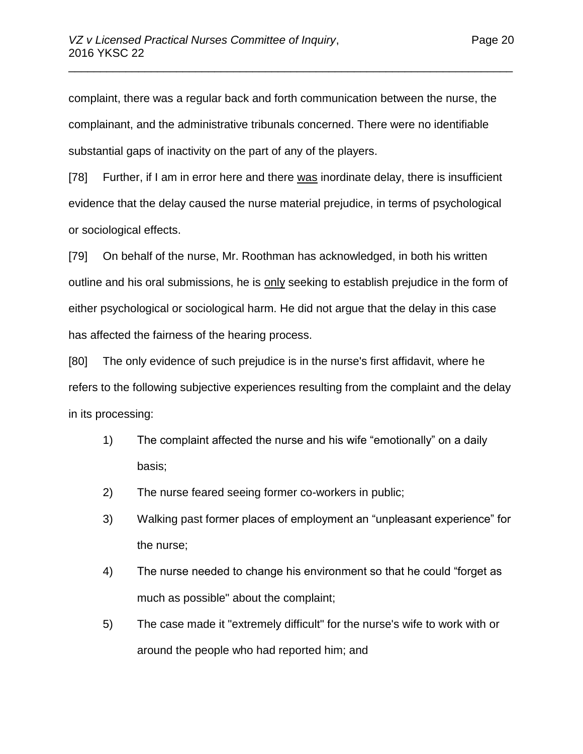complaint, there was a regular back and forth communication between the nurse, the complainant, and the administrative tribunals concerned. There were no identifiable substantial gaps of inactivity on the part of any of the players.

\_\_\_\_\_\_\_\_\_\_\_\_\_\_\_\_\_\_\_\_\_\_\_\_\_\_\_\_\_\_\_\_\_\_\_\_\_\_\_\_\_\_\_\_\_\_\_\_\_\_\_\_\_\_\_\_\_\_\_\_\_\_\_\_\_\_\_\_\_\_

[78] Further, if I am in error here and there was inordinate delay, there is insufficient evidence that the delay caused the nurse material prejudice, in terms of psychological or sociological effects.

[79] On behalf of the nurse, Mr. Roothman has acknowledged, in both his written outline and his oral submissions, he is only seeking to establish prejudice in the form of either psychological or sociological harm. He did not argue that the delay in this case has affected the fairness of the hearing process.

[80] The only evidence of such prejudice is in the nurse's first affidavit, where he refers to the following subjective experiences resulting from the complaint and the delay in its processing:

- 1) The complaint affected the nurse and his wife "emotionally" on a daily basis;
- 2) The nurse feared seeing former co-workers in public;
- 3) Walking past former places of employment an "unpleasant experience" for the nurse;
- 4) The nurse needed to change his environment so that he could "forget as much as possible" about the complaint;
- 5) The case made it "extremely difficult" for the nurse's wife to work with or around the people who had reported him; and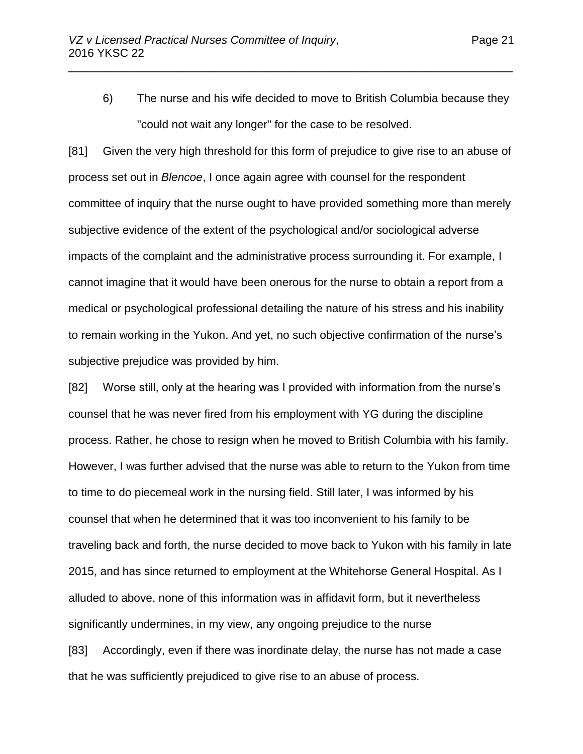6) The nurse and his wife decided to move to British Columbia because they "could not wait any longer" for the case to be resolved.

\_\_\_\_\_\_\_\_\_\_\_\_\_\_\_\_\_\_\_\_\_\_\_\_\_\_\_\_\_\_\_\_\_\_\_\_\_\_\_\_\_\_\_\_\_\_\_\_\_\_\_\_\_\_\_\_\_\_\_\_\_\_\_\_\_\_\_\_\_\_

[81] Given the very high threshold for this form of prejudice to give rise to an abuse of process set out in *Blencoe*, I once again agree with counsel for the respondent committee of inquiry that the nurse ought to have provided something more than merely subjective evidence of the extent of the psychological and/or sociological adverse impacts of the complaint and the administrative process surrounding it. For example, I cannot imagine that it would have been onerous for the nurse to obtain a report from a medical or psychological professional detailing the nature of his stress and his inability to remain working in the Yukon. And yet, no such objective confirmation of the nurse's subjective prejudice was provided by him.

[82] Worse still, only at the hearing was I provided with information from the nurse's counsel that he was never fired from his employment with YG during the discipline process. Rather, he chose to resign when he moved to British Columbia with his family. However, I was further advised that the nurse was able to return to the Yukon from time to time to do piecemeal work in the nursing field. Still later, I was informed by his counsel that when he determined that it was too inconvenient to his family to be traveling back and forth, the nurse decided to move back to Yukon with his family in late 2015, and has since returned to employment at the Whitehorse General Hospital. As I alluded to above, none of this information was in affidavit form, but it nevertheless significantly undermines, in my view, any ongoing prejudice to the nurse

[83] Accordingly, even if there was inordinate delay, the nurse has not made a case that he was sufficiently prejudiced to give rise to an abuse of process.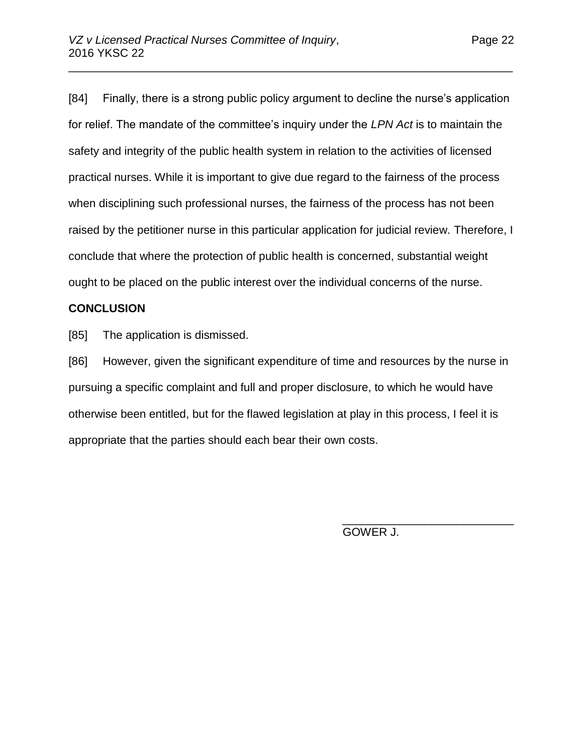[84] Finally, there is a strong public policy argument to decline the nurse's application for relief. The mandate of the committee's inquiry under the *LPN Act* is to maintain the safety and integrity of the public health system in relation to the activities of licensed practical nurses. While it is important to give due regard to the fairness of the process when disciplining such professional nurses, the fairness of the process has not been raised by the petitioner nurse in this particular application for judicial review. Therefore, I conclude that where the protection of public health is concerned, substantial weight ought to be placed on the public interest over the individual concerns of the nurse.

\_\_\_\_\_\_\_\_\_\_\_\_\_\_\_\_\_\_\_\_\_\_\_\_\_\_\_\_\_\_\_\_\_\_\_\_\_\_\_\_\_\_\_\_\_\_\_\_\_\_\_\_\_\_\_\_\_\_\_\_\_\_\_\_\_\_\_\_\_\_

## **CONCLUSION**

[85] The application is dismissed.

[86] However, given the significant expenditure of time and resources by the nurse in pursuing a specific complaint and full and proper disclosure, to which he would have otherwise been entitled, but for the flawed legislation at play in this process, I feel it is appropriate that the parties should each bear their own costs.

GOWER J.

\_\_\_\_\_\_\_\_\_\_\_\_\_\_\_\_\_\_\_\_\_\_\_\_\_\_\_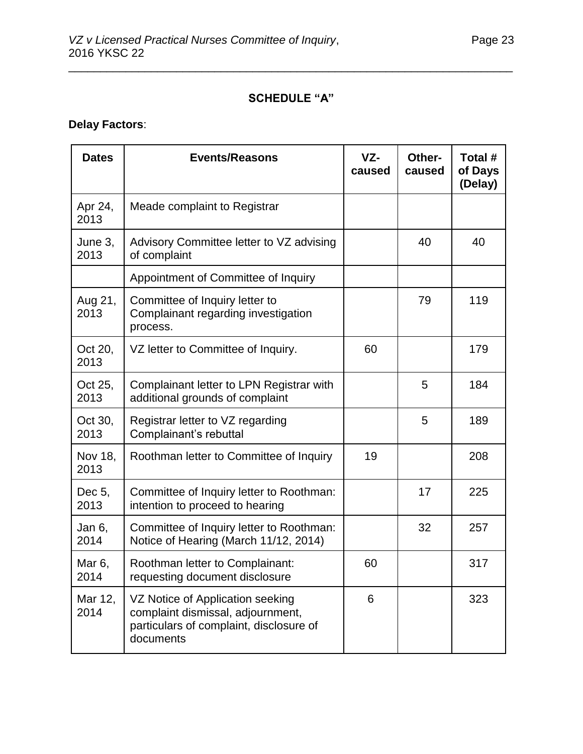## **SCHEDULE "A"**

\_\_\_\_\_\_\_\_\_\_\_\_\_\_\_\_\_\_\_\_\_\_\_\_\_\_\_\_\_\_\_\_\_\_\_\_\_\_\_\_\_\_\_\_\_\_\_\_\_\_\_\_\_\_\_\_\_\_\_\_\_\_\_\_\_\_\_\_\_\_

# **Delay Factors**:

| <b>Dates</b>    | <b>Events/Reasons</b>                                                                                                         | $VZ-$<br>caused | Other-<br>caused | Total #<br>of Days<br>(Delay) |
|-----------------|-------------------------------------------------------------------------------------------------------------------------------|-----------------|------------------|-------------------------------|
| Apr 24,<br>2013 | Meade complaint to Registrar                                                                                                  |                 |                  |                               |
| June 3,<br>2013 | Advisory Committee letter to VZ advising<br>of complaint                                                                      |                 | 40               | 40                            |
|                 | Appointment of Committee of Inquiry                                                                                           |                 |                  |                               |
| Aug 21,<br>2013 | Committee of Inquiry letter to<br>Complainant regarding investigation<br>process.                                             |                 | 79               | 119                           |
| Oct 20,<br>2013 | VZ letter to Committee of Inquiry.                                                                                            | 60              |                  | 179                           |
| Oct 25,<br>2013 | Complainant letter to LPN Registrar with<br>additional grounds of complaint                                                   |                 | 5                | 184                           |
| Oct 30,<br>2013 | Registrar letter to VZ regarding<br>Complainant's rebuttal                                                                    |                 | 5                | 189                           |
| Nov 18,<br>2013 | Roothman letter to Committee of Inquiry                                                                                       | 19              |                  | 208                           |
| Dec 5,<br>2013  | Committee of Inquiry letter to Roothman:<br>intention to proceed to hearing                                                   |                 | 17               | 225                           |
| Jan 6,<br>2014  | Committee of Inquiry letter to Roothman:<br>Notice of Hearing (March 11/12, 2014)                                             |                 | 32               | 257                           |
| Mar 6,<br>2014  | Roothman letter to Complainant:<br>requesting document disclosure                                                             | 60              |                  | 317                           |
| Mar 12,<br>2014 | VZ Notice of Application seeking<br>complaint dismissal, adjournment,<br>particulars of complaint, disclosure of<br>documents | 6               |                  | 323                           |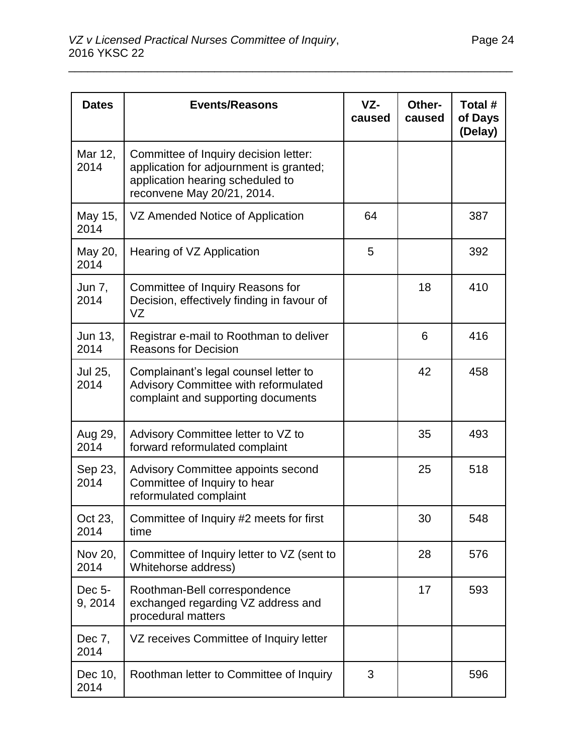| <b>Dates</b>      | <b>Events/Reasons</b>                                                                                                                              | VZ-<br>caused | Other-<br>caused | Total #<br>of Days<br>(Delay) |
|-------------------|----------------------------------------------------------------------------------------------------------------------------------------------------|---------------|------------------|-------------------------------|
| Mar 12,<br>2014   | Committee of Inquiry decision letter:<br>application for adjournment is granted;<br>application hearing scheduled to<br>reconvene May 20/21, 2014. |               |                  |                               |
| May 15,<br>2014   | VZ Amended Notice of Application                                                                                                                   | 64            |                  | 387                           |
| May 20,<br>2014   | Hearing of VZ Application                                                                                                                          | 5             |                  | 392                           |
| Jun 7,<br>2014    | Committee of Inquiry Reasons for<br>Decision, effectively finding in favour of<br>VZ                                                               |               | 18               | 410                           |
| Jun 13.<br>2014   | Registrar e-mail to Roothman to deliver<br><b>Reasons for Decision</b>                                                                             |               | 6                | 416                           |
| Jul 25,<br>2014   | Complainant's legal counsel letter to<br>Advisory Committee with reformulated<br>complaint and supporting documents                                |               | 42               | 458                           |
| Aug 29,<br>2014   | Advisory Committee letter to VZ to<br>forward reformulated complaint                                                                               |               | 35               | 493                           |
| Sep 23,<br>2014   | <b>Advisory Committee appoints second</b><br>Committee of Inquiry to hear<br>reformulated complaint                                                |               | 25               | 518                           |
| Oct 23,<br>2014   | Committee of Inquiry #2 meets for first<br>time                                                                                                    |               | 30               | 548                           |
| Nov 20,<br>2014   | Committee of Inquiry letter to VZ (sent to<br>Whitehorse address)                                                                                  |               | 28               | 576                           |
| Dec 5-<br>9, 2014 | Roothman-Bell correspondence<br>exchanged regarding VZ address and<br>procedural matters                                                           |               | 17               | 593                           |
| Dec 7,<br>2014    | VZ receives Committee of Inquiry letter                                                                                                            |               |                  |                               |
| Dec 10,<br>2014   | Roothman letter to Committee of Inquiry                                                                                                            | 3             |                  | 596                           |

\_\_\_\_\_\_\_\_\_\_\_\_\_\_\_\_\_\_\_\_\_\_\_\_\_\_\_\_\_\_\_\_\_\_\_\_\_\_\_\_\_\_\_\_\_\_\_\_\_\_\_\_\_\_\_\_\_\_\_\_\_\_\_\_\_\_\_\_\_\_